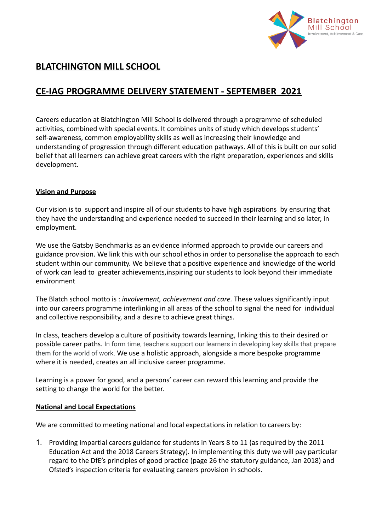

# **BLATCHINGTON MILL SCHOOL**

# **CE-IAG PROGRAMME DELIVERY STATEMENT - SEPTEMBER 2021**

Careers education at Blatchington Mill School is delivered through a programme of scheduled activities, combined with special events. It combines units of study which develops students' self-awareness, common employability skills as well as increasing their knowledge and understanding of progression through different education pathways. All of this is built on our solid belief that all learners can achieve great careers with the right preparation, experiences and skills development.

# **Vision and Purpose**

Our vision is to support and inspire all of our students to have high aspirations by ensuring that they have the understanding and experience needed to succeed in their learning and so later, in employment.

We use the Gatsby Benchmarks as an evidence informed approach to provide our careers and guidance provision. We link this with our school ethos in order to personalise the approach to each student within our community. We believe that a positive experience and knowledge of the world of work can lead to greater achievements,inspiring our students to look beyond their immediate environment

The Blatch school motto is : *involvement, achievement and care.* These values significantly input into our careers programme interlinking in all areas of the school to signal the need for individual and collective responsibility, and a desire to achieve great things.

In class, teachers develop a culture of positivity towards learning, linking this to their desired or possible career paths. In form time, teachers support our learners in developing key skills that prepare them for the world of work. We use a holistic approach, alongside a more bespoke programme where it is needed, creates an all inclusive career programme.

Learning is a power for good, and a persons' career can reward this learning and provide the setting to change the world for the better.

# **National and Local Expectations**

We are committed to meeting national and local expectations in relation to careers by:

1. Providing impartial careers guidance for students in Years 8 to 11 (as required by the 2011 Education Act and the 2018 Careers Strategy). In implementing this duty we will pay particular regard to the DfE's principles of good practice (page 26 the statutory guidance, Jan 2018) and Ofsted's inspection criteria for evaluating careers provision in schools.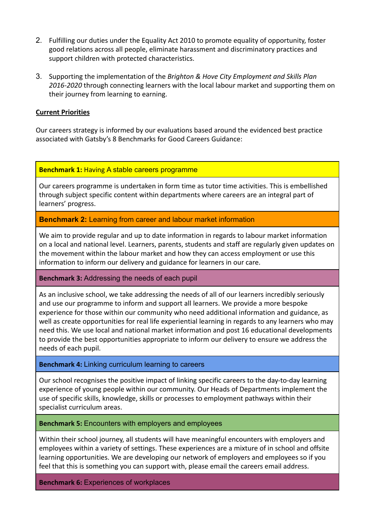- 2. Fulfilling our duties under the Equality Act 2010 to promote equality of opportunity, foster good relations across all people, eliminate harassment and discriminatory practices and support children with protected characteristics.
- 3. Supporting the implementation of the *Brighton & Hove City Employment and Skills Plan 2016-2020* through connecting learners with the local labour market and supporting them on their journey from learning to earning.

# **Current Priorities**

Our careers strategy is informed by our evaluations based around the evidenced best practice associated with Gatsby's 8 Benchmarks for Good Careers Guidance:

# **Benchmark 1:** Having A stable careers programme

Our careers programme is undertaken in form time as tutor time activities. This is embellished through subject specific content within departments where careers are an integral part of learners' progress.

**Benchmark 2:** Learning from career and labour market information

We aim to provide regular and up to date information in regards to labour market information on a local and national level. Learners, parents, students and staff are regularly given updates on the movement within the labour market and how they can access employment or use this information to inform our delivery and guidance for learners in our care.

# **Benchmark 3:** Addressing the needs of each pupil

As an inclusive school, we take addressing the needs of all of our learners incredibly seriously and use our programme to inform and support all learners. We provide a more bespoke experience for those within our community who need additional information and guidance, as well as create opportunities for real life experiential learning in regards to any learners who may need this. We use local and national market information and post 16 educational developments to provide the best opportunities appropriate to inform our delivery to ensure we address the needs of each pupil.

# **Benchmark 4:** Linking curriculum learning to careers

Our school recognises the positive impact of linking specific careers to the day-to-day learning experience of young people within our community. Our Heads of Departments implement the use of specific skills, knowledge, skills or processes to employment pathways within their specialist curriculum areas.

# **Benchmark 5:** Encounters with employers and employees

Within their school journey, all students will have meaningful encounters with employers and employees within a variety of settings. These experiences are a mixture of in school and offsite learning opportunities. We are developing our network of employers and employees so if you feel that this is something you can support with, please email the careers email address.

**Benchmark 6:** Experiences of workplaces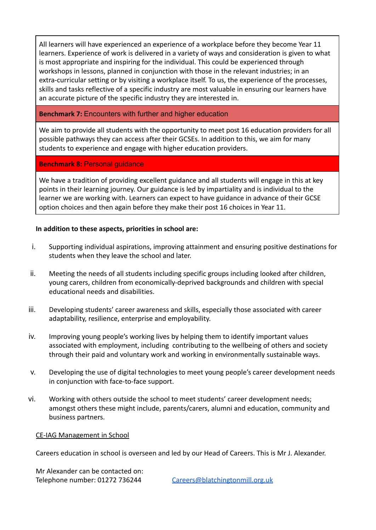All learners will have experienced an experience of a workplace before they become Year 11 learners. Experience of work is delivered in a variety of ways and consideration is given to what is most appropriate and inspiring for the individual. This could be experienced through workshops in lessons, planned in conjunction with those in the relevant industries; in an extra-curricular setting or by visiting a workplace itself. To us, the experience of the processes, skills and tasks reflective of a specific industry are most valuable in ensuring our learners have an accurate picture of the specific industry they are interested in.

# **Benchmark 7:** Encounters with further and higher education

We aim to provide all students with the opportunity to meet post 16 education providers for all possible pathways they can access after their GCSEs. In addition to this, we aim for many students to experience and engage with higher education providers.

# **Benchmark 8:** Personal guidance

We have a tradition of providing excellent guidance and all students will engage in this at key points in their learning journey. Our guidance is led by impartiality and is individual to the learner we are working with. Learners can expect to have guidance in advance of their GCSE option choices and then again before they make their post 16 choices in Year 11.

# **In addition to these aspects, priorities in school are:**

- i. Supporting individual aspirations, improving attainment and ensuring positive destinations for students when they leave the school and later.
- ii. Meeting the needs of all students including specific groups including looked after children, young carers, children from economically-deprived backgrounds and children with special educational needs and disabilities.
- iii. Developing students' career awareness and skills, especially those associated with career adaptability, resilience, enterprise and employability.
- iv. Improving young people's working lives by helping them to identify important values associated with employment, including contributing to the wellbeing of others and society through their paid and voluntary work and working in environmentally sustainable ways.
- v. Developing the use of digital technologies to meet young people's career development needs in conjunction with face-to-face support.
- vi. Working with others outside the school to meet students' career development needs; amongst others these might include, parents/carers, alumni and education, community and business partners.

# CE-IAG Management in School

Careers education in school is overseen and led by our Head of Careers. This is Mr J. Alexander.

Mr Alexander can be contacted on: Telephone number: 01272 736244 [Careers@blatchingtonmill.org.uk](mailto:Careers@blatchingtonmill.org.uk)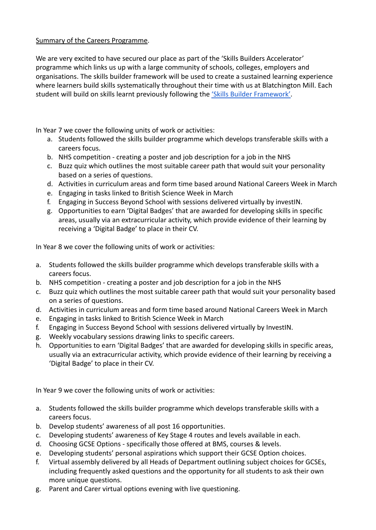# Summary of the Careers Programme.

We are very excited to have secured our place as part of the 'Skills Builders Accelerator' programme which links us up with a large community of schools, colleges, employers and organisations. The skills builder framework will be used to create a sustained learning experience where learners build skills systematically throughout their time with us at Blatchington Mill. Each student will build on skills learnt previously following the ['Skills Builder Framework'.](https://www.skillsbuilder.org/universal-framework/listening)

In Year 7 we cover the following units of work or activities:

- a. Students followed the skills builder programme which develops transferable skills with a careers focus.
- b. NHS competition creating a poster and job description for a job in the NHS
- c. Buzz quiz which outlines the most suitable career path that would suit your personality based on a series of questions.
- d. Activities in curriculum areas and form time based around National Careers Week in March
- e. Engaging in tasks linked to British Science Week in March
- f. Engaging in Success Beyond School with sessions delivered virtually by investIN.
- g. Opportunities to earn 'Digital Badges' that are awarded for developing skills in specific areas, usually via an extracurricular activity, which provide evidence of their learning by receiving a 'Digital Badge' to place in their CV.

In Year 8 we cover the following units of work or activities:

- a. Students followed the skills builder programme which develops transferable skills with a careers focus.
- b. NHS competition creating a poster and job description for a job in the NHS
- c. Buzz quiz which outlines the most suitable career path that would suit your personality based on a series of questions.
- d. Activities in curriculum areas and form time based around National Careers Week in March
- e. Engaging in tasks linked to British Science Week in March
- f. Engaging in Success Beyond School with sessions delivered virtually by InvestIN.
- g. Weekly vocabulary sessions drawing links to specific careers.
- h. Opportunities to earn 'Digital Badges' that are awarded for developing skills in specific areas, usually via an extracurricular activity, which provide evidence of their learning by receiving a 'Digital Badge' to place in their CV.

In Year 9 we cover the following units of work or activities:

- a. Students followed the skills builder programme which develops transferable skills with a careers focus.
- b. Develop students' awareness of all post 16 opportunities.
- c. Developing students' awareness of Key Stage 4 routes and levels available in each.
- d. Choosing GCSE Options specifically those offered at BMS, courses & levels.
- e. Developing students' personal aspirations which support their GCSE Option choices.
- f. Virtual assembly delivered by all Heads of Department outlining subject choices for GCSEs, including frequently asked questions and the opportunity for all students to ask their own more unique questions.
- g. Parent and Carer virtual options evening with live questioning.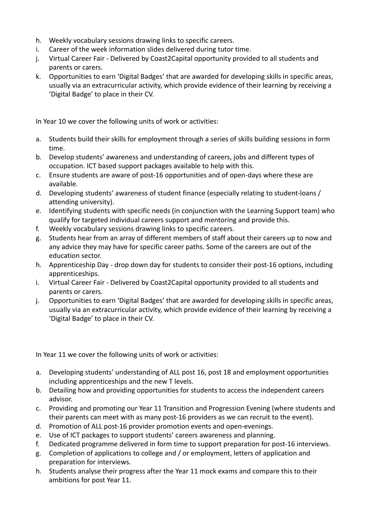- h. Weekly vocabulary sessions drawing links to specific careers.
- i. Career of the week information slides delivered during tutor time.
- j. Virtual Career Fair Delivered by Coast2Capital opportunity provided to all students and parents or carers.
- k. Opportunities to earn 'Digital Badges' that are awarded for developing skills in specific areas, usually via an extracurricular activity, which provide evidence of their learning by receiving a 'Digital Badge' to place in their CV.

In Year 10 we cover the following units of work or activities:

- a. Students build their skills for employment through a series of skills building sessions in form time.
- b. Develop students' awareness and understanding of careers, jobs and different types of occupation. ICT based support packages available to help with this.
- c. Ensure students are aware of post-16 opportunities and of open-days where these are available.
- d. Developing students' awareness of student finance (especially relating to student-loans / attending university).
- e. Identifying students with specific needs (in conjunction with the Learning Support team) who qualify for targeted individual careers support and mentoring and provide this.
- f. Weekly vocabulary sessions drawing links to specific careers.
- g. Students hear from an array of different members of staff about their careers up to now and any advice they may have for specific career paths. Some of the careers are out of the education sector.
- h. Apprenticeship Day drop down day for students to consider their post-16 options, including apprenticeships.
- i. Virtual Career Fair Delivered by Coast2Capital opportunity provided to all students and parents or carers.
- j. Opportunities to earn 'Digital Badges' that are awarded for developing skills in specific areas, usually via an extracurricular activity, which provide evidence of their learning by receiving a 'Digital Badge' to place in their CV.

In Year 11 we cover the following units of work or activities:

- a. Developing students' understanding of ALL post 16, post 18 and employment opportunities including apprenticeships and the new T levels.
- b. Detailing how and providing opportunities for students to access the independent careers advisor.
- c. Providing and promoting our Year 11 Transition and Progression Evening (where students and their parents can meet with as many post-16 providers as we can recruit to the event).
- d. Promotion of ALL post-16 provider promotion events and open-evenings.
- e. Use of ICT packages to support students' careers awareness and planning.
- f. Dedicated programme delivered in form time to support preparation for post-16 interviews.
- g. Completion of applications to college and / or employment, letters of application and preparation for interviews.
- h. Students analyse their progress after the Year 11 mock exams and compare this to their ambitions for post Year 11.